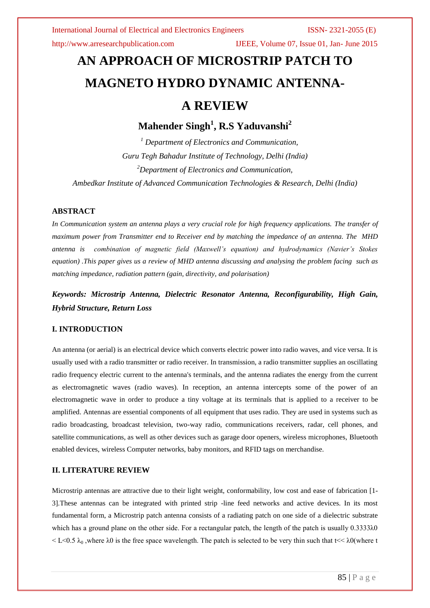# **AN APPROACH OF MICROSTRIP PATCH TO MAGNETO HYDRO DYNAMIC ANTENNA-A REVIEW**

## **Mahender Singh<sup>1</sup> , R.S Yaduvanshi<sup>2</sup>**

*<sup>1</sup> Department of Electronics and Communication, Guru Tegh Bahadur Institute of Technology, Delhi (India) <sup>2</sup>Department of Electronics and Communication,* 

*Ambedkar Institute of Advanced Communication Technologies & Research, Delhi (India)*

### **ABSTRACT**

*In Communication system an antenna plays a very crucial role for high frequency applications. The transfer of maximum power from Transmitter end to Receiver end by matching the impedance of an antenna. The MHD antenna is combination of magnetic field (Maxwell's equation) and hydrodynamics (Navier's Stokes equation) .This paper gives us a review of MHD antenna discussing and analysing the problem facing such as matching impedance, radiation pattern (gain, directivity, and polarisation)* 

*Keywords: Microstrip Antenna, Dielectric Resonator Antenna, Reconfigurability, High Gain, Hybrid Structure, Return Loss*

### **I. INTRODUCTION**

An antenna (or aerial) is an electrical device which converts electric power into radio waves, and vice versa. It is usually used with a radio transmitter or radio receiver. In transmission, a radio transmitter supplies an oscillating radio frequency electric current to the antenna's terminals, and the antenna radiates the energy from the current as electromagnetic waves (radio waves). In reception, an antenna intercepts some of the power of an electromagnetic wave in order to produce a tiny voltage at its terminals that is applied to a receiver to be amplified. Antennas are essential components of all equipment that uses radio. They are used in systems such as radio broadcasting, broadcast television, two-way radio, communications receivers, radar, cell phones, and satellite communications, as well as other devices such as garage door openers, wireless microphones, Bluetooth enabled devices, wireless Computer networks, baby monitors, and RFID tags on merchandise.

### **II. LITERATURE REVIEW**

Microstrip antennas are attractive due to their light weight, conformability, low cost and ease of fabrication [1- 3].These antennas can be integrated with printed strip -line feed networks and active devices. In its most fundamental form, a Microstrip patch antenna consists of a radiating patch on one side of a dielectric substrate which has a ground plane on the other side. For a rectangular patch, the length of the patch is usually 0.3333λ0  $\leq L \leq 0.5$   $\lambda_0$ , where  $\lambda_0$  is the free space wavelength. The patch is selected to be very thin such that t $\leq \lambda_0$  (where t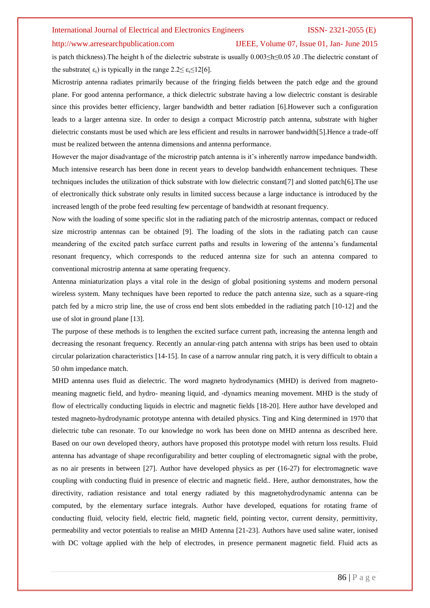### http://www.arresearchpublication.com IJEEE, Volume 07, Issue 01, Jan- June 2015

is patch thickness).The height h of the dielectric substrate is usually 0.003≤h≤0.05 λ0 .The dielectric constant of the substrate( $\varepsilon_r$ ) is typically in the range  $2.2 \leq \varepsilon_r \leq 12[6]$ .

Microstrip antenna radiates primarily because of the fringing fields between the patch edge and the ground plane. For good antenna performance, a thick dielectric substrate having a low dielectric constant is desirable since this provides better efficiency, larger bandwidth and better radiation [6].However such a configuration leads to a larger antenna size. In order to design a compact Microstrip patch antenna, substrate with higher dielectric constants must be used which are less efficient and results in narrower bandwidth[5].Hence a trade-off must be realized between the antenna dimensions and antenna performance.

However the major disadvantage of the microstrip patch antenna is it's inherently narrow impedance bandwidth. Much intensive research has been done in recent years to develop bandwidth enhancement techniques. These techniques includes the utilization of thick substrate with low dielectric constant[7] and slotted patch[6].The use of electronically thick substrate only results in limited success because a large inductance is introduced by the increased length of the probe feed resulting few percentage of bandwidth at resonant frequency.

Now with the loading of some specific slot in the radiating patch of the microstrip antennas, compact or reduced size microstrip antennas can be obtained [9]. The loading of the slots in the radiating patch can cause meandering of the excited patch surface current paths and results in lowering of the antenna's fundamental resonant frequency, which corresponds to the reduced antenna size for such an antenna compared to conventional microstrip antenna at same operating frequency.

Antenna miniaturization plays a vital role in the design of global positioning systems and modern personal wireless system. Many techniques have been reported to reduce the patch antenna size, such as a square-ring patch fed by a micro strip line, the use of cross end bent slots embedded in the radiating patch [10-12] and the use of slot in ground plane [13].

The purpose of these methods is to lengthen the excited surface current path, increasing the antenna length and decreasing the resonant frequency. Recently an annular-ring patch antenna with strips has been used to obtain circular polarization characteristics [14-15]. In case of a narrow annular ring patch, it is very difficult to obtain a 50 ohm impedance match.

MHD antenna uses fluid as dielectric. The word magneto hydrodynamics (MHD) is derived from magnetomeaning magnetic field, and hydro- meaning liquid, and -dynamics meaning movement. MHD is the study of flow of electrically conducting liquids in electric and magnetic fields [18-20]. Here author have developed and tested magneto-hydrodynamic prototype antenna with detailed physics. Ting and King determined in 1970 that dielectric tube can resonate. To our knowledge no work has been done on MHD antenna as described here. Based on our own developed theory, authors have proposed this prototype model with return loss results. Fluid antenna has advantage of shape reconfigurability and better coupling of electromagnetic signal with the probe, as no air presents in between [27]. Author have developed physics as per (16-27) for electromagnetic wave coupling with conducting fluid in presence of electric and magnetic field.. Here, author demonstrates, how the directivity, radiation resistance and total energy radiated by this magnetohydrodynamic antenna can be computed, by the elementary surface integrals. Author have developed, equations for rotating frame of conducting fluid, velocity field, electric field, magnetic field, pointing vector, current density, permittivity, permeability and vector potentials to realise an MHD Antenna [21-23]. Authors have used saline water, ionised with DC voltage applied with the help of electrodes, in presence permanent magnetic field. Fluid acts as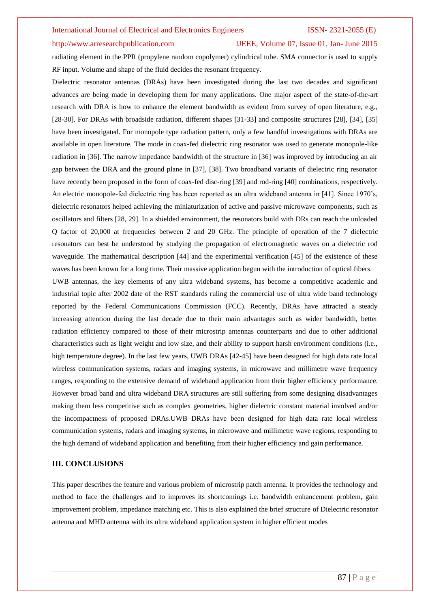### http://www.arresearchpublication.com IJEEE, Volume 07, Issue 01, Jan- June 2015

radiating element in the PPR (propylene random copolymer) cylindrical tube. SMA connector is used to supply RF input. Volume and shape of the fluid decides the resonant frequency.

Dielectric resonator antennas (DRAs) have been investigated during the last two decades and significant advances are being made in developing them for many applications. One major aspect of the state-of-the-art research with DRA is how to enhance the element bandwidth as evident from survey of open literature, e.g., [28-30]. For DRAs with broadside radiation, different shapes [31-33] and composite structures [28], [34], [35] have been investigated. For monopole type radiation pattern, only a few handful investigations with DRAs are available in open literature. The mode in coax-fed dielectric ring resonator was used to generate monopole-like radiation in [36]. The narrow impedance bandwidth of the structure in [36] was improved by introducing an air gap between the DRA and the ground plane in [37], [38]. Two broadband variants of dielectric ring resonator have recently been proposed in the form of coax-fed disc-ring [39] and rod-ring [40] combinations, respectively. An electric monopole-fed dielectric ring has been reported as an ultra wideband antenna in [41]. Since 1970's, dielectric resonators helped achieving the miniaturization of active and passive microwave components, such as oscillators and filters [28, 29]. In a shielded environment, the resonators build with DRs can reach the unloaded Q factor of 20,000 at frequencies between 2 and 20 GHz. The principle of operation of the 7 dielectric resonators can best be understood by studying the propagation of electromagnetic waves on a dielectric rod waveguide. The mathematical description [44] and the experimental verification [45] of the existence of these waves has been known for a long time. Their massive application begun with the introduction of optical fibers.

UWB antennas, the key elements of any ultra wideband systems, has become a competitive academic and industrial topic after 2002 date of the RST standards ruling the commercial use of ultra wide band technology reported by the Federal Communications Commission (FCC). Recently, DRAs have attracted a steady increasing attention during the last decade due to their main advantages such as wider bandwidth, better radiation efficiency compared to those of their microstrip antennas counterparts and due to other additional characteristics such as light weight and low size, and their ability to support harsh environment conditions (i.e., high temperature degree). In the last few years, UWB DRAs [42-45] have been designed for high data rate local wireless communication systems, radars and imaging systems, in microwave and millimetre wave frequency ranges, responding to the extensive demand of wideband application from their higher efficiency performance. However broad band and ultra wideband DRA structures are still suffering from some designing disadvantages making them less competitive such as complex geometries, higher dielectric constant material involved and/or the incompactness of proposed DRAs.UWB DRAs have been designed for high data rate local wireless communication systems, radars and imaging systems, in microwave and millimetre wave regions, responding to the high demand of wideband application and benefiting from their higher efficiency and gain performance.

### **III. CONCLUSIONS**

This paper describes the feature and various problem of microstrip patch antenna. It provides the technology and method to face the challenges and to improves its shortcomings i.e. bandwidth enhancement problem, gain improvement problem, impedance matching etc. This is also explained the brief structure of Dielectric resonator antenna and MHD antenna with its ultra wideband application system in higher efficient modes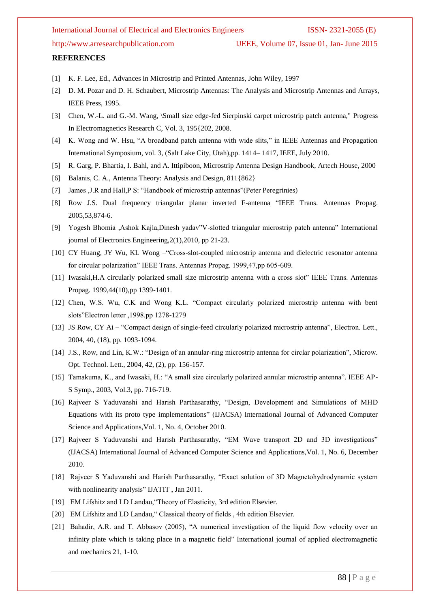http://www.arresearchpublication.com IJEEE, Volume 07, Issue 01, Jan- June 2015

### **REFERENCES**

- [1] K. F. Lee, Ed., Advances in Microstrip and Printed Antennas, John Wiley, 1997
- [2] D. M. Pozar and D. H. Schaubert, Microstrip Antennas: The Analysis and Microstrip Antennas and Arrays, IEEE Press, 1995.
- [3] Chen, W.-L. and G.-M. Wang, \Small size edge-fed Sierpinski carpet microstrip patch antenna," Progress In Electromagnetics Research C, Vol. 3, 195{202, 2008.
- [4] K. Wong and W. Hsu, "A broadband patch antenna with wide slits," in IEEE Antennas and Propagation International Symposium, vol. 3, (Salt Lake City, Utah),pp. 1414– 1417, IEEE, July 2010.
- [5] R. Garg, P. Bhartia, I. Bahl, and A. Ittipiboon, Microstrip Antenna Design Handbook, Artech House, 2000
- [6] Balanis, C. A., Antenna Theory: Analysis and Design, 811{862}
- [7] James ,J.R and Hall,P S: "Handbook of microstrip antennas"(Peter Peregrinies)
- [8] Row J.S. Dual frequency triangular planar inverted F-antenna "IEEE Trans. Antennas Propag. 2005,53,874-6.
- [9] Yogesh Bhomia ,Ashok Kajla,Dinesh yadav"V-slotted triangular microstrip patch antenna" International journal of Electronics Engineering,2(1),2010, pp 21-23.
- [10] CY Huang, JY Wu, KL Wong –"Cross-slot-coupled microstrip antenna and dielectric resonator antenna for circular polarization" IEEE Trans. Antennas Propag. 1999,47,pp 605-609.
- [11] Iwasaki,H.A circularly polarized small size microstrip antenna with a cross slot" IEEE Trans. Antennas Propag. 1999,44(10),pp 1399-1401.
- [12] Chen, W.S. Wu, C.K and Wong K.L. "Compact circularly polarized microstrip antenna with bent slots"Electron letter ,1998.pp 1278-1279
- [13] JS Row, CY Ai "Compact design of single-feed circularly polarized microstrip antenna", Electron. Lett., 2004, 40, (18), pp. 1093-1094.
- [14] J.S., Row, and Lin, K.W.: "Design of an annular-ring microstrip antenna for circlar polarization", Microw. Opt. Technol. Lett., 2004, 42, (2), pp. 156-157.
- [15] Tamakuma, K., and Iwasaki, H.: "A small size circularly polarized annular microstrip antenna". IEEE AP-S Symp., 2003, Vol.3, pp. 716-719.
- [16] Rajveer S Yaduvanshi and Harish Parthasarathy, "Design, Development and Simulations of MHD Equations with its proto type implementations" (IJACSA) International Journal of Advanced Computer Science and Applications,Vol. 1, No. 4, October 2010.
- [17] Rajveer S Yaduvanshi and Harish Parthasarathy, "EM Wave transport 2D and 3D investigations" (IJACSA) International Journal of Advanced Computer Science and Applications,Vol. 1, No. 6, December 2010.
- [18] Rajveer S Yaduvanshi and Harish Parthasarathy, "Exact solution of 3D Magnetohydrodynamic system with nonlinearity analysis" IJATIT , Jan 2011.
- [19] EM Lifshitz and LD Landau, "Theory of Elasticity, 3rd edition Elsevier.
- [20] EM Lifshitz and LD Landau," Classical theory of fields, 4th edition Elsevier.
- [21] Bahadir, A.R. and T. Abbasov (2005), "A numerical investigation of the liquid flow velocity over an infinity plate which is taking place in a magnetic field" International journal of applied electromagnetic and mechanics 21, 1-10.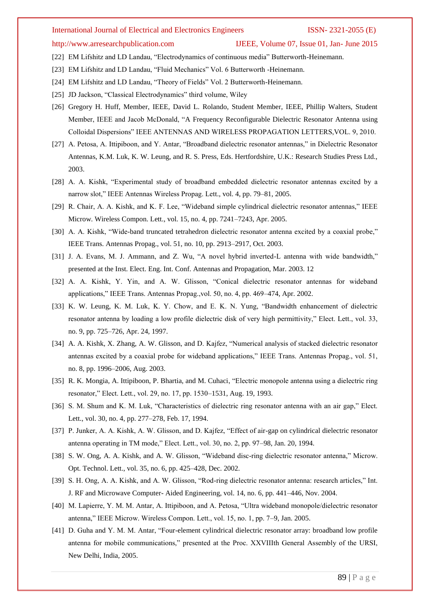http://www.arresearchpublication.com IJEEE, Volume 07, Issue 01, Jan- June 2015

- [22] EM Lifshitz and LD Landau, "Electrodynamics of continuous media" Butterworth-Heinemann.
- [23] EM Lifshitz and LD Landau, "Fluid Mechanics" Vol. 6 Butterworth -Heinemann.
- [24] EM Lifshitz and LD Landau, "Theory of Fields" Vol. 2 Butterworth-Heinemann.
- [25] JD Jackson, "Classical Electrodynamics" third volume, Wiley
- [26] Gregory H. Huff, Member, IEEE, David L. Rolando, Student Member, IEEE, Phillip Walters, Student Member, IEEE and Jacob McDonald, "A Frequency Reconfigurable Dielectric Resonator Antenna using Colloidal Dispersions" IEEE ANTENNAS AND WIRELESS PROPAGATION LETTERS,VOL. 9, 2010.
- [27] A. Petosa, A. Ittipiboon, and Y. Antar, "Broadband dielectric resonator antennas," in Dielectric Resonator Antennas, K.M. Luk, K. W. Leung, and R. S. Press, Eds. Hertfordshire, U.K.: Research Studies Press Ltd., 2003.
- [28] A. A. Kishk, "Experimental study of broadband embedded dielectric resonator antennas excited by a narrow slot," IEEE Antennas Wireless Propag. Lett., vol. 4, pp. 79–81, 2005.
- [29] R. Chair, A. A. Kishk, and K. F. Lee, "Wideband simple cylindrical dielectric resonator antennas," IEEE Microw. Wireless Compon. Lett., vol. 15, no. 4, pp. 7241–7243, Apr. 2005.
- [30] A. A. Kishk, "Wide-band truncated tetrahedron dielectric resonator antenna excited by a coaxial probe," IEEE Trans. Antennas Propag., vol. 51, no. 10, pp. 2913–2917, Oct. 2003.
- [31] J. A. Evans, M. J. Ammann, and Z. Wu, "A novel hybrid inverted-L antenna with wide bandwidth," presented at the Inst. Elect. Eng. Int. Conf. Antennas and Propagation, Mar. 2003. 12
- [32] A. A. Kishk, Y. Yin, and A. W. Glisson, "Conical dielectric resonator antennas for wideband applications," IEEE Trans. Antennas Propag.,vol. 50, no. 4, pp. 469–474, Apr. 2002.
- [33] K. W. Leung, K. M. Luk, K. Y. Chow, and E. K. N. Yung, "Bandwidth enhancement of dielectric resonator antenna by loading a low profile dielectric disk of very high permittivity," Elect. Lett., vol. 33, no. 9, pp. 725–726, Apr. 24, 1997.
- [34] A. A. Kishk, X. Zhang, A. W. Glisson, and D. Kajfez, "Numerical analysis of stacked dielectric resonator antennas excited by a coaxial probe for wideband applications," IEEE Trans. Antennas Propag., vol. 51, no. 8, pp. 1996–2006, Aug. 2003.
- [35] R. K. Mongia, A. Ittipiboon, P. Bhartia, and M. Cuhaci, "Electric monopole antenna using a dielectric ring resonator," Elect. Lett., vol. 29, no. 17, pp. 1530–1531, Aug. 19, 1993.
- [36] S. M. Shum and K. M. Luk, "Characteristics of dielectric ring resonator antenna with an air gap," Elect. Lett., vol. 30, no. 4, pp. 277–278, Feb. 17, 1994.
- [37] P. Junker, A. A. Kishk, A. W. Glisson, and D. Kajfez, "Effect of air-gap on cylindrical dielectric resonator antenna operating in TM mode," Elect. Lett., vol. 30, no. 2, pp. 97–98, Jan. 20, 1994.
- [38] S. W. Ong, A. A. Kishk, and A. W. Glisson, "Wideband disc-ring dielectric resonator antenna," Microw. Opt. Technol. Lett., vol. 35, no. 6, pp. 425–428, Dec. 2002.
- [39] S. H. Ong, A. A. Kishk, and A. W. Glisson, "Rod-ring dielectric resonator antenna: research articles," Int. J. RF and Microwave Computer- Aided Engineering, vol. 14, no. 6, pp. 441–446, Nov. 2004.
- [40] M. Lapierre, Y. M. M. Antar, A. Ittipiboon, and A. Petosa, "Ultra wideband monopole/dielectric resonator antenna," IEEE Microw. Wireless Compon. Lett., vol. 15, no. 1, pp. 7–9, Jan. 2005.
- [41] D. Guha and Y. M. M. Antar, "Four-element cylindrical dielectric resonator array: broadband low profile antenna for mobile communications," presented at the Proc. XXVIIIth General Assembly of the URSI, New Delhi, India, 2005.